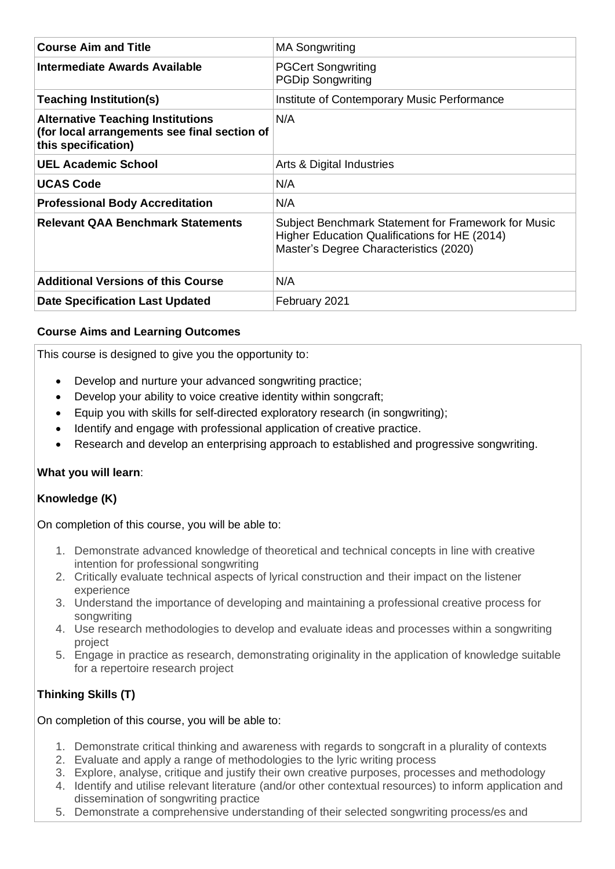| <b>Course Aim and Title</b>                                                                                     | <b>MA Songwriting</b>                                                                                                                          |
|-----------------------------------------------------------------------------------------------------------------|------------------------------------------------------------------------------------------------------------------------------------------------|
| <b>Intermediate Awards Available</b>                                                                            | <b>PGCert Songwriting</b><br><b>PGDip Songwriting</b>                                                                                          |
| <b>Teaching Institution(s)</b>                                                                                  | Institute of Contemporary Music Performance                                                                                                    |
| <b>Alternative Teaching Institutions</b><br>(for local arrangements see final section of<br>this specification) | N/A                                                                                                                                            |
| <b>UEL Academic School</b>                                                                                      | Arts & Digital Industries                                                                                                                      |
| <b>UCAS Code</b>                                                                                                | N/A                                                                                                                                            |
| <b>Professional Body Accreditation</b>                                                                          | N/A                                                                                                                                            |
| <b>Relevant QAA Benchmark Statements</b>                                                                        | Subject Benchmark Statement for Framework for Music<br>Higher Education Qualifications for HE (2014)<br>Master's Degree Characteristics (2020) |
| <b>Additional Versions of this Course</b>                                                                       | N/A                                                                                                                                            |
| <b>Date Specification Last Updated</b>                                                                          | February 2021                                                                                                                                  |

## **Course Aims and Learning Outcomes**

This course is designed to give you the opportunity to:

- Develop and nurture your advanced songwriting practice;
- Develop your ability to voice creative identity within songcraft;
- Equip you with skills for self-directed exploratory research (in songwriting);
- Identify and engage with professional application of creative practice.
- Research and develop an enterprising approach to established and progressive songwriting.

### **What you will learn**:

### **Knowledge (K)**

On completion of this course, you will be able to:

- 1. Demonstrate advanced knowledge of theoretical and technical concepts in line with creative intention for professional songwriting
- 2. Critically evaluate technical aspects of lyrical construction and their impact on the listener experience
- 3. Understand the importance of developing and maintaining a professional creative process for songwriting
- 4. Use research methodologies to develop and evaluate ideas and processes within a songwriting project
- 5. Engage in practice as research, demonstrating originality in the application of knowledge suitable for a repertoire research project

# **Thinking Skills (T)**

On completion of this course, you will be able to:

- 1. Demonstrate critical thinking and awareness with regards to songcraft in a plurality of contexts
- 2. Evaluate and apply a range of methodologies to the lyric writing process
- 3. Explore, analyse, critique and justify their own creative purposes, processes and methodology
- 4. Identify and utilise relevant literature (and/or other contextual resources) to inform application and dissemination of songwriting practice
- 5. Demonstrate a comprehensive understanding of their selected songwriting process/es and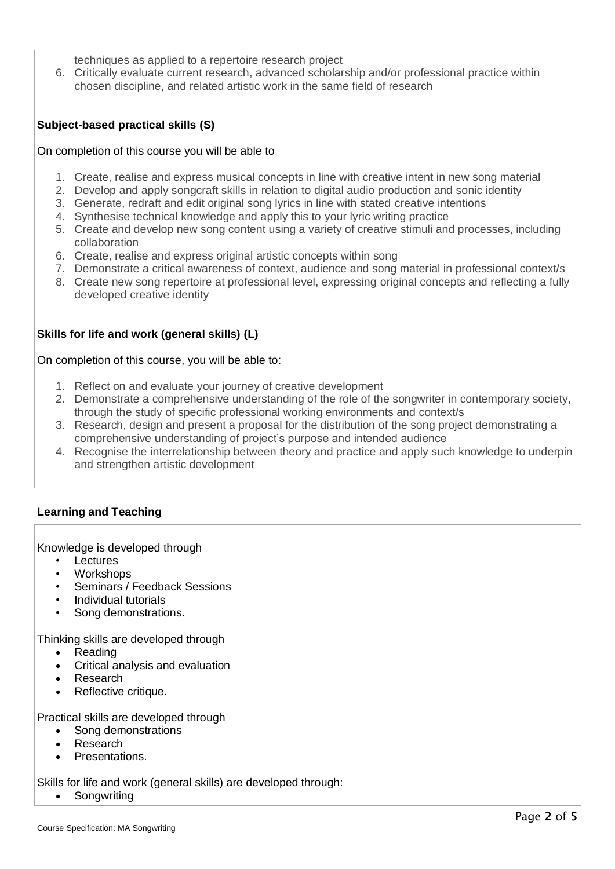- techniques as applied to a repertoire research project
- 6. Critically evaluate current research, advanced scholarship and/or professional practice within chosen discipline, and related artistic work in the same field of research

## **Subject-based practical skills (S)**

#### On completion of this course you will be able to

- 1. Create, realise and express musical concepts in line with creative intent in new song material
- 2. Develop and apply songcraft skills in relation to digital audio production and sonic identity
- 3. Generate, redraft and edit original song lyrics in line with stated creative intentions
- 4. Synthesise technical knowledge and apply this to your lyric writing practice
- 5. Create and develop new song content using a variety of creative stimuli and processes, including collaboration
- 6. Create, realise and express original artistic concepts within song
- 7. Demonstrate a critical awareness of context, audience and song material in professional context/s
- 8. Create new song repertoire at professional level, expressing original concepts and reflecting a fully developed creative identity

## **Skills for life and work (general skills) (L)**

On completion of this course, you will be able to:

- 1. Reflect on and evaluate your journey of creative development
- 2. Demonstrate a comprehensive understanding of the role of the songwriter in contemporary society, through the study of specific professional working environments and context/s
- 3. Research, design and present a proposal for the distribution of the song project demonstrating a comprehensive understanding of project's purpose and intended audience
- 4. Recognise the interrelationship between theory and practice and apply such knowledge to underpin and strengthen artistic development

### **Learning and Teaching**

Knowledge is developed through

- **Lectures**
- Workshops
- Seminars / Feedback Sessions
- Individual tutorials
- Song demonstrations.

Thinking skills are developed through

- Reading
- Critical analysis and evaluation
- **Research**
- Reflective critique.

Practical skills are developed through

- Song demonstrations
- Research
- Presentations.

Skills for life and work (general skills) are developed through:

**Songwriting**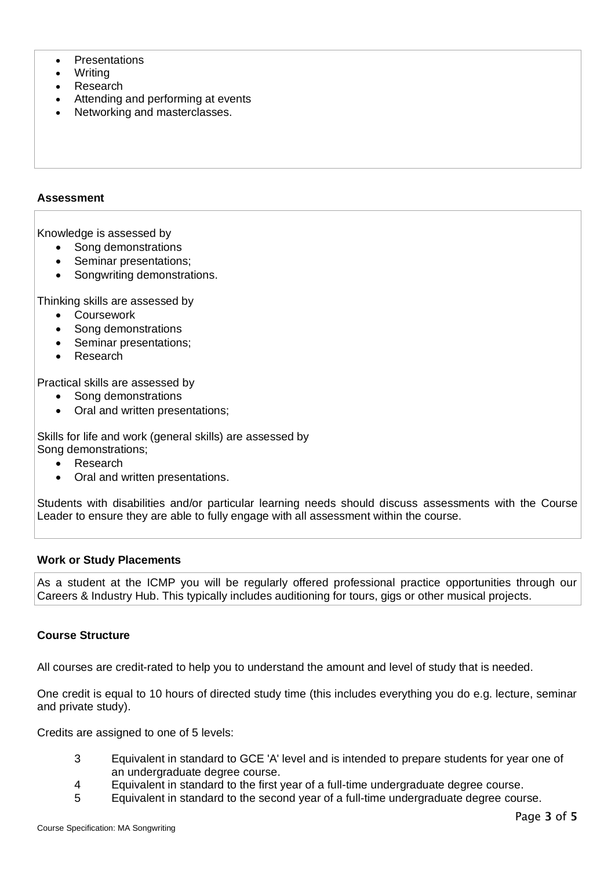- Presentations
- Writing
- **Research**
- Attending and performing at events
- Networking and masterclasses.

### **Assessment**

Knowledge is assessed by

- Song demonstrations
- Seminar presentations;
- Songwriting demonstrations.

Thinking skills are assessed by

- Coursework
- Song demonstrations
- Seminar presentations;
- **Research**

Practical skills are assessed by

- Song demonstrations
- Oral and written presentations;

Skills for life and work (general skills) are assessed by Song demonstrations;

- **Research**
- Oral and written presentations.

Students with disabilities and/or particular learning needs should discuss assessments with the Course Leader to ensure they are able to fully engage with all assessment within the course.

### **Work or Study Placements**

As a student at the ICMP you will be regularly offered professional practice opportunities through our Careers & Industry Hub. This typically includes auditioning for tours, gigs or other musical projects.

### **Course Structure**

All courses are credit-rated to help you to understand the amount and level of study that is needed.

One credit is equal to 10 hours of directed study time (this includes everything you do e.g. lecture, seminar and private study).

Credits are assigned to one of 5 levels:

- 3 Equivalent in standard to GCE 'A' level and is intended to prepare students for year one of an undergraduate degree course.
- 4 Equivalent in standard to the first year of a full-time undergraduate degree course.
- 5 Equivalent in standard to the second year of a full-time undergraduate degree course.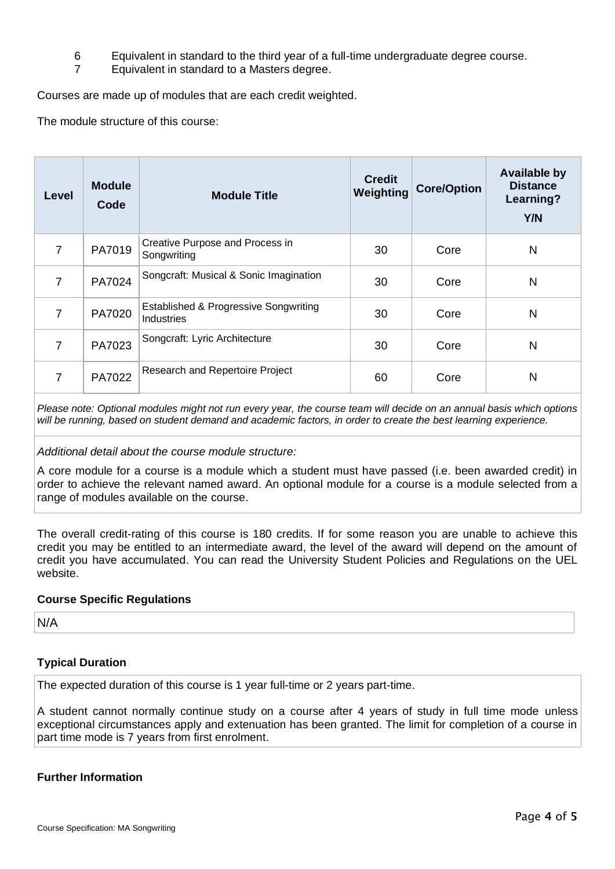- 6 Equivalent in standard to the third year of a full-time undergraduate degree course.
- 7 Equivalent in standard to a Masters degree.

Courses are made up of modules that are each credit weighted.

The module structure of this course:

| <b>Level</b>   | <b>Module</b><br>Code | <b>Module Title</b>                                                   | <b>Credit</b><br>Weighting | <b>Core/Option</b> | <b>Available by</b><br><b>Distance</b><br>Learning?<br>Y/N |
|----------------|-----------------------|-----------------------------------------------------------------------|----------------------------|--------------------|------------------------------------------------------------|
| $\overline{7}$ | PA7019                | Creative Purpose and Process in<br>Songwriting                        | 30                         | Core               | N                                                          |
| 7              | PA7024                | Songcraft: Musical & Sonic Imagination                                | 30                         | Core               | N                                                          |
| 7              | PA7020                | <b>Established &amp; Progressive Songwriting</b><br><b>Industries</b> | 30                         | Core               | N                                                          |
| 7              | PA7023                | Songcraft: Lyric Architecture                                         | 30                         | Core               | N                                                          |
| 7              | PA7022                | Research and Repertoire Project                                       | 60                         | Core               | N                                                          |

*Please note: Optional modules might not run every year, the course team will decide on an annual basis which options will be running, based on student demand and academic factors, in order to create the best learning experience.*

*Additional detail about the course module structure:*

A core module for a course is a module which a student must have passed (i.e. been awarded credit) in order to achieve the relevant named award. An optional module for a course is a module selected from a range of modules available on the course.

The overall credit-rating of this course is 180 credits. If for some reason you are unable to achieve this credit you may be entitled to an intermediate award, the level of the award will depend on the amount of credit you have accumulated. You can read the University Student Policies and Regulations on the UEL website.

### **Course Specific Regulations**

N/A

### **Typical Duration**

The expected duration of this course is 1 year full-time or 2 years part-time.

A student cannot normally continue study on a course after 4 years of study in full time mode unless exceptional circumstances apply and extenuation has been granted. The limit for completion of a course in part time mode is 7 years from first enrolment.

### **Further Information**